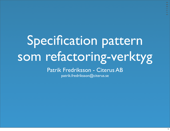# Specification pattern som refactoring-verktyg

#### Patrik Fredriksson - Citerus AB

patrik.fredriksson@citerus.se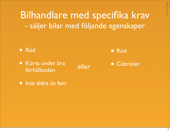Bilhandlare med specifika krav - säljer bilar med följande egenskaper

• Röd

• Körts under bra förhållanden

• Röd

eller • Cabriolet

• Inte äldre än fem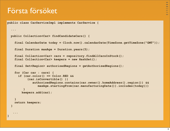#### Första försöket

**}**

```
public class CarServiceImpl implements CarService {
   ...
   public Collection<Car> findCandidateCars() {
     final CalendarDate today = Clock.now().calendarDate(TimeZone.getTimeZone("GMT"));
     final Duration maxAge = Duration.years(5);
     final Collection<Car> cars = repository.findAllCarsInStock();
     final Collection<Car> keepers = new HashSet();
     final Set<Region> authorizedRegions = getAuthorizedRegions();
     for (Car car : cars) {
       if (car.color() == Color.RED &&
            (car.isConvertible() ||
               authorizedRegions.contains(car.owner().homeAddress().region()) &&
                  maxAge.startingFrom(car.manufacturingDate()).includes(today)))
 )
         keepers.add(car);
     }
     return keepers;
   }
 ...
```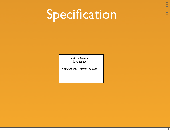### Specification

<<interface>> *Specification*

+ *isSatisfiedBy(Object) : boolean*

 $\bullet$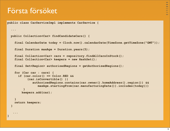#### Första försöket

**}**

```
public class CarServiceImpl implements CarService {
   ...
   public Collection<Car> findCandidateCars() {
     final CalendarDate today = Clock.now().calendarDate(TimeZone.getTimeZone("GMT"));
     final Duration maxAge = Duration.years(5);
     final Collection<Car> cars = repository.findAllCarsInStock();
     final Collection<Car> keepers = new HashSet();
     final Set<Region> authorizedRegions = getAuthorizedRegions();
     for (Car car : cars) {
       if (car.color() == Color.RED &&
            (car.isConvertible() ||
               authorizedRegions.contains(car.owner().homeAddress().region()) &&
                  maxAge.startingFrom(car.manufacturingDate()).includes(today)))
 )
         keepers.add(car);
     }
     return keepers;
   }
 ...
```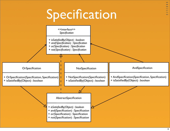### Specification

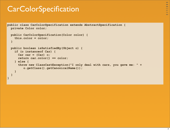### **CarColorSpecification**

```
public class CarColorSpecification extends AbstractSpecification {
   private Color color;
   public CarColorSpecification(Color color) {
     this.color = color;
   }
   public boolean isSatisfiedBy(Object o) {
     if (o instanceof Car) {
       Car car = (Car) o;
       return car.color() == color;
     } else {
       throw new ClassCastException("I only deal with cars, you gave me: " +
          o.getClass().getCanonicalName());
     }
   }
}
```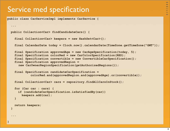#### Service med specification

**}**

```
public class CarServiceImpl implements CarService {
```

```
 ...
  public Collection<Car> findCandidateCars() {
    final Collection<Car> keepers = new HashSet<Car>();
     final CalendarDate today = Clock.now().calendarDate(TimeZone.getTimeZone("GMT"));
     final Specification approvedAge = new CarAgeSpecification(today, 5);
     final Specification colorRed = new CarColorSpecification(RED);
     final Specification convertible = new ConvertibleCarSpecification();
     final Specification approvedRegion = 
       new CarOwnerRegionSpecification(getAuthorizedRegions());
     final Specification candidateCarSpecification = 
              colorRed.and(approvedRegion.and(approvedAge).or(convertible));
     final Collection<Car> cars = repository.findAllCarsInStock();
     for (Car car : cars) {
       if (candidateCarSpecification.isSatisfiedBy(car))
         keepers.add(car);
     }
    return keepers;
  }
 ...
```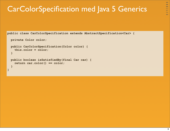### CarColorSpecification med Java 5 Generics

```
public class CarColorSpecification extends AbstractSpecification<Car> {
```

```
 private Color color;
  public CarColorSpecification(Color color) {
    this.color = color;
   }
  public boolean isSatisfiedBy(final Car car) {
    return car.color() == color;
   }
}
```
**ca**  $\Rightarrow$ 

ده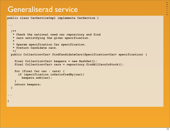### Generaliserad service

**}**

**public class CarServiceImpl implements CarService {**

```
...
  /**
   * Check the national used car repository and find 
   * cars satistfying the given specification.
    *
   * @param specification Car specification.
   * @return Candidate cars.
    */
  public Collection<Car> findCandidateCars(Specification<Car> specification) {
    final Collection<Car> keepers = new HashSet();
     final Collection<Car> cars = repository.findAllCarsInStock();
    for (final Car car : cars) {
       if (specification.isSatisfiedBy(car))
         keepers.add(car);
     }
    return keepers;
  }
...
```
 $\bullet$  $\Rightarrow$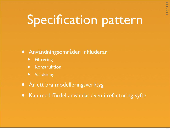# Specification pattern

- Användningsområden inkluderar:
	- **•** Filtrering
	- Konstruktion
	- Validering
- Är ett bra modelleringsverktyg
- Kan med fördel användas även i refactoring-syfte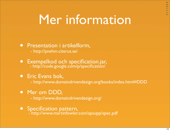## Mer information

### • Presentation i artikelform,<br>- http://pnehm.citerus.se/

- 
- [Exempelkod och specification.jar](http://code.google.com/p/specification/),<br><http://code.google.com/p/specification/>

#### • Eric Evans bok,

[- http://www.domaindrivendesign.org/books/i](http://www.domaindrivendesign.org/books/)ndex.html#DDD

- [Mer om DDD,](http://www.domaindrivendesign.org)<br> [http://www.domaindrivendesign.org/](http://www.domaindrivendesign.org)
- Specification pattern,
	- http://www.martinfowler.com/apsupp/spec.pdf